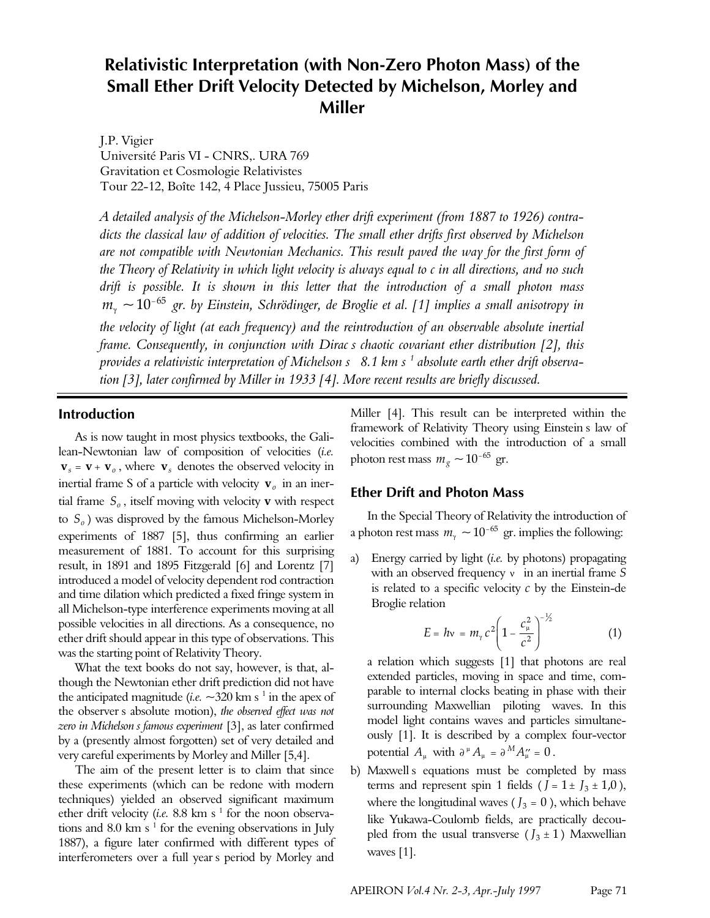# **Relativistic Interpretation (with Non-Zero Photon Mass) of the Small Ether Drift Velocity Detected by Michelson, Morley and Miller**

J.P. Vigier Université Paris VI - CNRS,. URA 769 Gravitation et Cosmologie Relativistes Tour 22-12, Boîte 142, 4 Place Jussieu, 75005 Paris

*A detailed analysis of the Michelson-Morley ether drift experiment (from 1887 to 1926) contradicts the classical law of addition of velocities. The small ether drifts first observed by Michelson are not compatible with Newtonian Mechanics. This result paved the way for the first form of the Theory of Relativity in which light velocity is always equal to c in all directions, and no such drift is possible. It is shown in this letter that the introduction of a small photon mass*  $m<sub>y</sub>$  ~10<sup>-65</sup> gr. by Einstein, Schrödinger, de Broglie et al. [1] implies a small anisotropy in *the velocity of light (at each frequency) and the reintroduction of an observable absolute inertial frame. Consequently, in conjunction with Dirac's chaotic covariant ether distribution [2], this provides a relativistic interpretation of Michelson's –8.1 km s–1 absolute earth ether drift observation [3], later confirmed by Miller in 1933 [4]. More recent results are briefly discussed.*

### **Introduction**

As is now taught in most physics textbooks, the Galilean-Newtonian law of composition of velocities (*i.e.*  $\mathbf{v}_s = \mathbf{v} + \mathbf{v}_o$ , where  $\mathbf{v}_s$  denotes the observed velocity in inertial frame S of a particle with velocity **v***<sup>o</sup>* in an inertial frame *S<sup>o</sup>* , itself moving with velocity **v** with respect to *S<sup>o</sup>* ) was disproved by the famous Michelson-Morley experiments of 1887 [5], thus confirming an earlier measurement of 1881. To account for this surprising result, in 1891 and 1895 Fitzgerald [6] and Lorentz [7] introduced a model of velocity dependent rod contraction and time dilation which predicted a fixed fringe system in all Michelson-type interference experiments moving at all possible velocities in all directions. As a consequence, no ether drift should appear in this type of observations. This was the starting point of Relativity Theory.

What the text books do not say, however, is that, although the Newtonian ether drift prediction did not have the anticipated magnitude (*i.e.*  $\sim$ 320 km s<sup>-1</sup> in the apex of the observer's absolute motion), *the observed effect was not zero in Michelson's famous experiment* [3], as later confirmed by a (presently almost forgotten) set of very detailed and very careful experiments by Morley and Miller [5,4].

The aim of the present letter is to claim that since these experiments (which can be redone with modern techniques) yielded an observed significant maximum ether drift velocity (*i.e.* 8.8 km s<sup>1</sup> for the noon observations and 8.0 km s<sup> $1$ </sup> for the evening observations in July 1887), a figure later confirmed with different types of interferometers over a full year's period by Morley and

Miller [4]. This result can be interpreted within the framework of Relativity Theory using Einstein's law of velocities combined with the introduction of a small photon rest mass  $m_g \sim 10^{-65}$  gr.

### **Ether Drift and Photon Mass**

In the Special Theory of Relativity the introduction of a photon rest mass  $m_\gamma \sim 10^{-65}$  gr. implies the following:

Energy carried by light *(i.e.* by photons) propagating with an observed frequency *n* in an inertial frame *S* is related to a specific velocity *c* by the Einstein-de Broglie relation

$$
E = h v = m_{\gamma} c^2 \left( 1 - \frac{c_{\mu}^2}{c^2} \right)^{-\frac{1}{2}} \tag{1}
$$

a relation which suggests [1] that photons are real extended particles, moving in space and time, comparable to internal clocks beating in phase with their surrounding Maxwellian piloting waves. In this model light contains waves and particles simultaneously [1]. It is described by a complex four-vector potential  $A_\mu$  with  $\partial^\mu A_\mu = \partial^M A_\mu'' = 0$ .

b) Maxwell's equations must be completed by mass terms and represent spin 1 fields  $(J = 1 \pm J_3 \pm 1.0)$ , where the longitudinal waves ( $J_3 = 0$ ), which behave like Yukawa-Coulomb fields, are practically decoupled from the usual transverse  $(J_3 \pm 1)$  Maxwellian waves [1].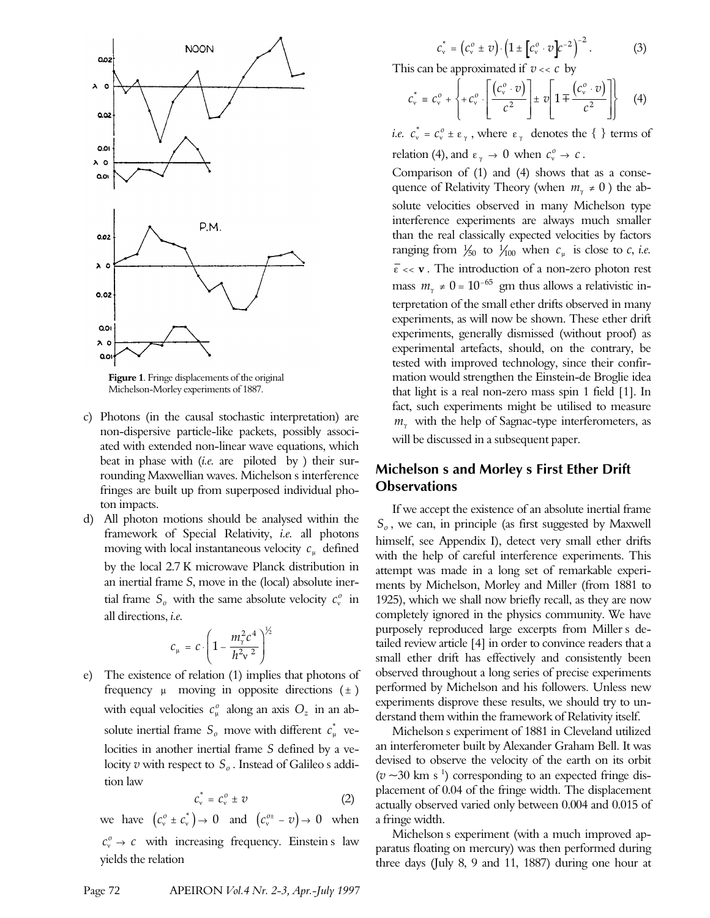

**Figure 1**. Fringe displacements of the original Michelson-Morley experiments of 1887.

- c) Photons (in the causal stochastic interpretation) are non-dispersive particle-like packets, possibly associated with extended non-linear wave equations, which beat in phase with *(i.e.* are piloted by ) their surrounding Maxwellian waves. Michelson's interference fringes are built up from superposed individual photon impacts.
- d) All photon motions should be analysed within the framework of Special Relativity, *i.e.* all photons moving with local instantaneous velocity *c<sup>m</sup>* defined by the local 2.7 K microwave Planck distribution in an inertial frame *S*, move in the (local) absolute inertial frame  $S_o$  with the same absolute velocity  $c_v^o$  in all directions, *i.e.*

$$
c_{\mu} = c \cdot \left(1 - \frac{m_{\gamma}^2 c^4}{h^2 v^2}\right)^{\frac{1}{2}}
$$

e) The existence of relation (1) implies that photons of frequency  $\mu$  moving in opposite directions  $(\pm)$ with equal velocities  $c^o_\mu$  along an axis  $O_z$  in an absolute inertial frame  $S_o$  move with different  $c^*_{\mu}$  velocities in another inertial frame *S* defined by a velocity  $v$  with respect to  $S_o$  . Instead of Galileo s addition law

$$
c_v^* = c_v^o \pm v \tag{2}
$$

we have  $(c_v^o \pm c_v^*) \rightarrow 0$  and  $(c_v^{o \pm} - v) \rightarrow 0$  when  $c_v^o \rightarrow c$  with increasing frequency. Einstein's law yields the relation

This can be approximated if 
$$
v << c
$$
 by  
\n
$$
c_v^* = c_v^o + \left\{ + c_v^o \cdot \left[ \frac{(c_v^o \cdot v)}{c^2} \right] \pm v \left[ 1 \mp \frac{(c_v^o \cdot v)}{c^2} \right] \right\} \tag{4}
$$

*i.e.*  $c_v^* = c_v^o \pm \varepsilon_\gamma$ , where  $\varepsilon_\gamma$  denotes the { } terms of relation (4), and  $\varepsilon_{\gamma} \to 0$  when  $c_{\gamma}^{o} \to c$ .

Comparison of (1) and (4) shows that as a consequence of Relativity Theory (when  $m_\gamma \neq 0$ ) the absolute velocities observed in many Michelson type interference experiments are always much smaller than the real classically expected velocities by factors ranging from  $\frac{1}{50}$  to  $\frac{1}{100}$  when  $c_{\mu}$  is close to *c*, *i.e.*  $\overline{\varepsilon}$  << **v**. The introduction of a non-zero photon rest mass  $m_{\gamma} \neq 0 = 10^{-65}$  gm thus allows a relativistic interpretation of the small ether drifts observed in many experiments, as will now be shown. These ether drift experiments, generally dismissed (without proof) as experimental artefacts, should, on the contrary, be tested with improved technology, since their confirmation would strengthen the Einstein-de Broglie idea that light is a real non-zero mass spin 1 field [1]. In fact, such experiments might be utilised to measure  $m_\gamma$  with the help of Sagnac-type interferometers, as will be discussed in a subsequent paper.

## **Michelson's and Morley's First Ether Drift Observations**

If we accept the existence of an absolute inertial frame *So* , we can, in principle (as first suggested by Maxwell himself, see Appendix I), detect very small ether drifts with the help of careful interference experiments. This attempt was made in a long set of remarkable experiments by Michelson, Morley and Miller (from 1881 to 1925), which we shall now briefly recall, as they are now completely ignored in the physics community. We have purposely reproduced large excerpts from Miller's detailed review article [4] in order to convince readers that a small ether drift has effectively and consistently been observed throughout a long series of precise experiments performed by Michelson and his followers. Unless new experiments disprove these results, we should try to understand them within the framework of Relativity itself.

Michelson's experiment of 1881 in Cleveland utilized an interferometer built by Alexander Graham Bell. It was devised to observe the velocity of the earth on its orbit  $(v \sim 30 \text{ km s}^{-1})$  corresponding to an expected fringe displacement of 0.04 of the fringe width. The displacement actually observed varied only between 0.004 and 0.015 of a fringe width.

Michelson's experiment (with a much improved apparatus floating on mercury) was then performed during three days (July 8, 9 and 11, 1887) during one hour at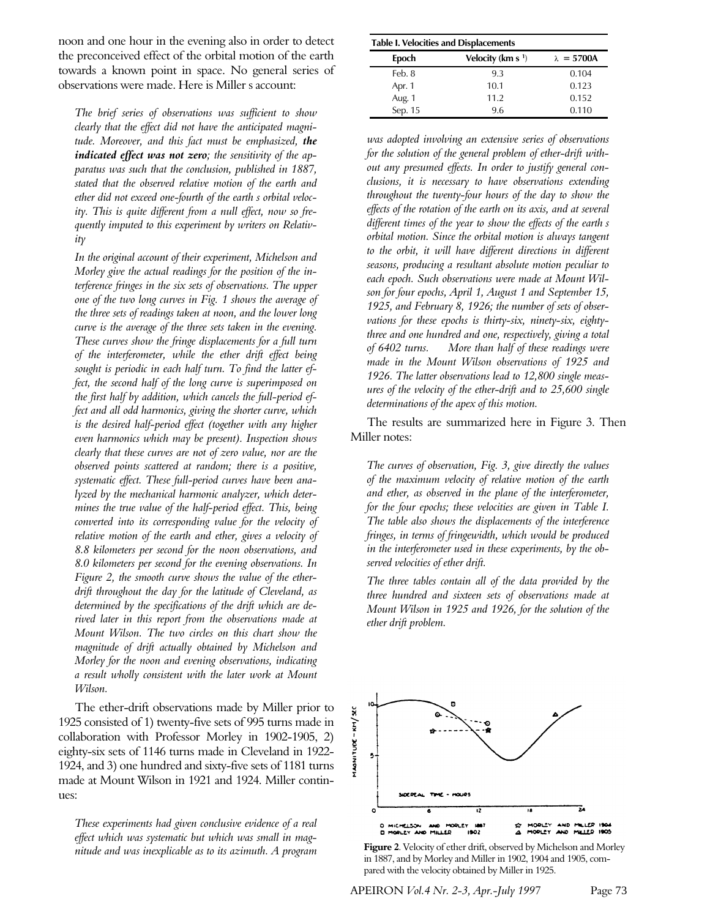noon and one hour in the evening also in order to detect the preconceived effect of the orbital motion of the earth towards a known point in space. No general series of observations were made. Here is Miller s account:

*The brief series of observations was sufficient to show clearly that the effect did not have the anticipated magnitude. Moreover, and this fact must be emphasized, the indicated effect was not zero; the sensitivity of the apparatus was such that the conclusion, published in 1887, stated that the observed relative motion of the earth and ether did not exceed one-fourth of the earth's orbital velocity. This is quite different from a null effect, now so frequently imputed to this experiment by writers on Relativitγ* 

*In the original account of their experiment, Michelson and Morley give the actual readings for the position of the interference fringes in the six sets of observations. The upper one of the two long curves in Fig. 1 shows the average of the three sets of readings taken at noon, and the lower long curve is the average of the three sets taken in the evening. These curves show the fringe displacements for a full turn of the interferometer, while the ether drift effect being sought is periodic in each half turn. To find the latter effect, the second half of the long curve is superimposed on the first half by addition, which cancels the full-period effect and all odd harmonics, giving the shorter curve, which is the desired half-period effect (together with any higher even harmonics which may be present). Inspection shows clearly that these curves are not of zero value, nor are the observed points scattered at random; there is a positive, systematic effect. These full-period curves have been analyzed by the mechanical harmonic analyzer, which determines the true value of the half-period effect. This, being converted into its corresponding value for the velocity of relative motion of the earth and ether, gives a velocity of 8.8 kilometers per second for the noon observations, and 8.0 kilometers per second for the evening observations. In Figure 2, the smooth curve shows the value of the etherdrift throughout the day for the latitude of Cleveland, as determined by the specifications of the drift which are derived later in this report from the observations made at Mount Wilson. The two circles on this chart show the magnitude of drift actually obtained by Michelson and Morley for the noon and evening observations, indicating a result wholly consistent with the later work at Mount Wilson.*

The ether-drift observations made by Miller prior to 1925 consisted of 1) twenty-five sets of 995 turns made in collaboration with Professor Morley in 1902-1905, 2) eighty-six sets of 1146 turns made in Cleveland in 1922- 1924, and 3) one hundred and sixty-five sets of 1181 turns made at Mount Wilson in 1921 and 1924. Miller continues:

*These experiments had given conclusive evidence of a real effect which was systematic but which was small in magnitude and was inexplicable as to its azimuth. A program*

| <b>Table I. Velocities and Displacements</b> |                      |                    |
|----------------------------------------------|----------------------|--------------------|
| Epoch                                        | Velocity (km s $1$ ) | $\lambda = 5700$ A |
| Feb. 8                                       | 9.3                  | 0.104              |
| Apr. 1                                       | 10.1                 | 0.123              |
| Aug. 1                                       | 11.2                 | 0.152              |
| Sep. 15                                      | 9.6                  | 0.110              |

*was adopted involving an extensive series of observations for the solution of the general problem of ether-drift without any presumed effects. In order to justify general conclusions, it is necessary to have observations extending throughout the twenty-four hours of the day to show the effects of the rotation of the earth on its axis, and at several different times of the year to show the effects of the earth's orbital motion. Since the orbital motion is always tangent to the orbit, it will have different directions in different seasons, producing a resultant absolute motion peculiar to each epoch. Such observations were made at Mount Wilson for four epochs, April 1, August 1 and September 15, 1925, and February 8, 1926; the number of sets of observations for these epochs is thirty-six, ninety-six, eightythree and one hundred and one, respectively, giving a total of 6402 turns. … More than half of these readings were made in the Mount Wilson observations of 1925 and 1926. The latter observations lead to 12,800 single measures of the velocity of the ether-drift and to 25,600 single determinations of the apex of this motion.*

The results are summarized here in Figure 3. Then Miller notes:

*The curves of observation, Fig. 3, give directly the values of the maximum velocity of relative motion of the earth and ether, as observed in the plane of the interferometer, for the four epochs; these velocities are given in Table I. The table also shows the displacements of the interference fringes, in terms of fringewidth, which would be produced in the interferometer used in these experiments, by the observed velocities of ether drift.*

*The three tables contain all of the data provided by the three hundred and sixteen sets of observations made at Mount Wilson in 1925 and 1926, for the solution of the ether drift problem.*



**Figure 2**. Velocity of ether drift, observed by Michelson and Morley in 1887, and by Morley and Miller in 1902, 1904 and 1905, compared with the velocity obtained by Miller in 1925.

APEIRON *Vol.4 Nr. 2-3, Apr.-July 1997* Page 73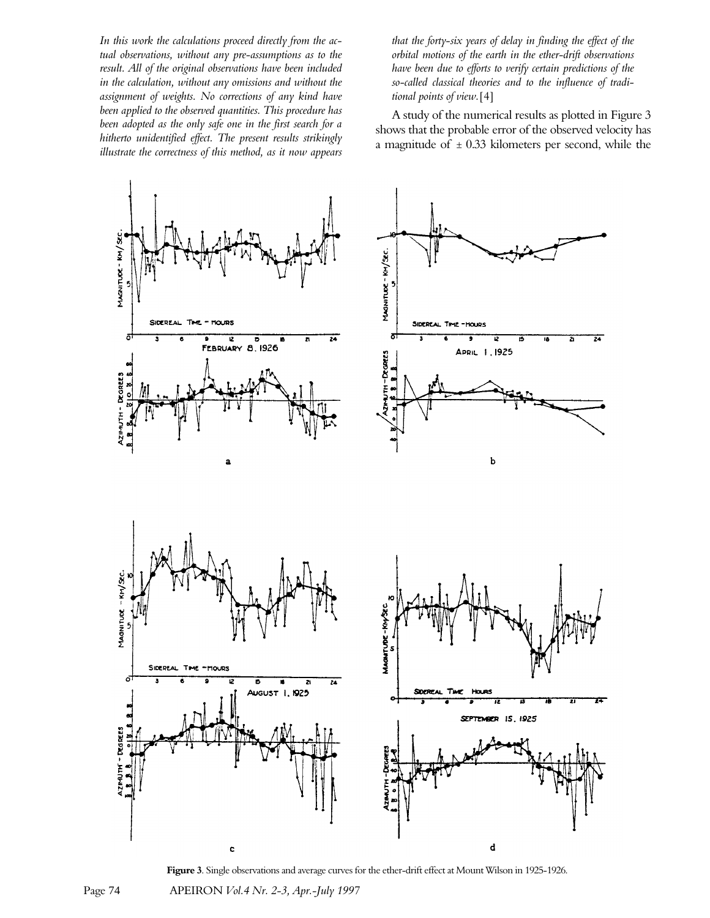*In this work the calculations proceed directly from the actual observations, without any pre-assumptions as to the result. All of the original observations have been included in the calculation, without any omissions and without the assignment of weights. No corrections of any kind have been applied to the observed quantities. This procedure has been adopted as the only safe one in the first search for a hitherto unidentified effect. The present results strikingly illustrate the correctness of this method, as it now appears* *that the forty-six years of delay in finding the effect of the orbital motions of the earth in the ether-drift observations have been due to efforts to verify certain predictions of the so-called classical theories and to the influence of traditional points of view.*[4]

A study of the numerical results as plotted in Figure 3 shows that the probable error of the observed velocity has a magnitude of  $\pm$  0.33 kilometers per second, while the



**Figure 3**. Single observations and average curves for the ether-drift effect at Mount Wilson in 1925-1926.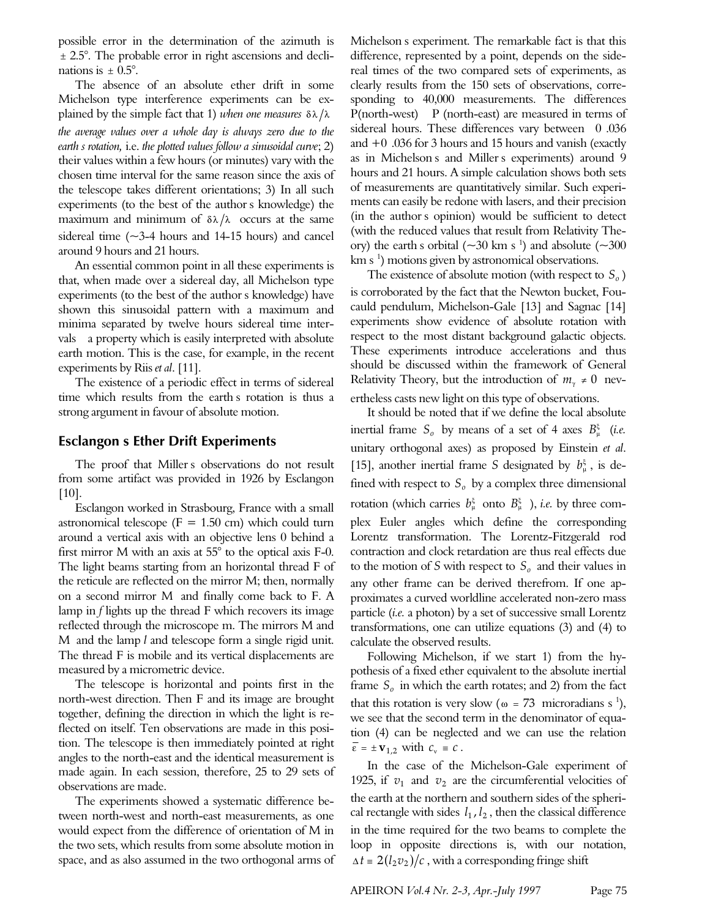possible error in the determination of the azimuth is ± 2.5°. The probable error in right ascensions and declinations is  $\pm$  0.5°.

The absence of an absolute ether drift in some Michelson type interference experiments can be explained by the simple fact that 1) when one measures  $\delta \lambda / \lambda$ *the average values over a whole day is always zero due to the earth's rotation,* i.e. *the plotted values follow a sinusoidal curve*; 2) their values within a few hours (or minutes) vary with the chosen time interval for the same reason since the axis of the telescope takes different orientations; 3) In all such experiments (to the best of the author's knowledge) the maximum and minimum of  $\delta \lambda / \lambda$  occurs at the same sidereal time  $(\sim$ 3-4 hours and 14-15 hours) and cancel around 9 hours and 21 hours.

An essential common point in all these experiments is that, when made over a sidereal day, all Michelson type experiments (to the best of the author's knowledge) have shown this sinusoidal pattern with a maximum and minima separated by twelve hours sidereal time intervals—a property which is easily interpreted with absolute earth motion. This is the case, for example, in the recent experiments by Riis *et al*. [11].

The existence of a periodic effect in terms of sidereal time which results from the earth's rotation is thus a strong argument in favour of absolute motion.

### **Esclangon's Ether Drift Experiments**

The proof that Miller's observations do not result from some artifact was provided in 1926 by Esclangon  $[10]$ .

Esclangon worked in Strasbourg, France with a small astronomical telescope ( $F = 1.50$  cm) which could turn around a vertical axis with an objective lens 0 behind a first mirror M with an axis at 55° to the optical axis F-0. The light beams starting from an horizontal thread F of the reticule are reflected on the mirror M; then, normally on a second mirror M and finally come back to F. A lamp in *f* lights up the thread F which recovers its image reflected through the microscope m. The mirrors M and M and the lamp *l* and telescope form a single rigid unit. The thread F is mobile and its vertical displacements are measured by a micrometric device.

The telescope is horizontal and points first in the north-west direction. Then F and its image are brought together, defining the direction in which the light is reflected on itself. Ten observations are made in this position. The telescope is then immediately pointed at right angles to the north-east and the identical measurement is made again. In each session, therefore, 25 to 29 sets of observations are made.

The experiments showed a systematic difference between north-west and north-east measurements, as one would expect from the difference of orientation of M in the two sets, which results from some absolute motion in space, and as also assumed in the two orthogonal arms of Michelson's experiment. The remarkable fact is that this difference, represented by a point, depends on the sidereal times of the two compared sets of experiments, as clearly results from the 150 sets of observations, corresponding to 40,000 measurements. The differences P(north-west) – P (north-east) are measured in terms of sidereal hours. These differences vary between 0.036 and  $+0$  .036 for 3 hours and 15 hours and vanish (exactly as in Michelson's and Miller's experiments) around 9 hours and 21 hours. A simple calculation shows both sets of measurements are quantitatively similar. Such experiments can easily be redone with lasers, and their precision (in the author's opinion) would be sufficient to detect (with the reduced values that result from Relativity Theory) the earth s orbital ( $\sim$ 30 km s<sup>-1</sup>) and absolute ( $\sim$ 300 km s<sup>1</sup>) motions given by astronomical observations.

The existence of absolute motion (with respect to *S<sup>o</sup>* ) is corroborated by the fact that the Newton bucket, Foucauld pendulum, Michelson-Gale [13] and Sagnac [14] experiments show evidence of absolute rotation with respect to the most distant background galactic objects. These experiments introduce accelerations and thus should be discussed within the framework of General Relativity Theory, but the introduction of  $m<sub>y</sub> \neq 0$  nevertheless casts new light on this type of observations.

It should be noted that if we define the local absolute inertial frame  $S_o$  by means of a set of 4 axes  $B_{\mu}^{\xi}$  (*i.e.* unitary orthogonal axes) as proposed by Einstein *et al*. [15], another inertial frame *S* designated by  $b^{\xi}_{\mu}$ , is defined with respect to  $S<sub>o</sub>$  by a complex three dimensional rotation (which carries  $b^{\xi}_{\mu}$  onto  $B^{\xi}_{\mu}$  ), *i.e.* by three complex Euler angles which define the corresponding Lorentz transformation. The Lorentz-Fitzgerald rod contraction and clock retardation are thus real effects due to the motion of *S* with respect to *S<sup>o</sup>* and their values in any other frame can be derived therefrom. If one approximates a curved worldline accelerated non-zero mass particle (*i.e.* a photon) by a set of successive small Lorentz transformations, one can utilize equations (3) and (4) to calculate the observed results.

Following Michelson, if we start 1) from the hypothesis of a fixed ether equivalent to the absolute inertial frame *S<sup>o</sup>* in which the earth rotates; and 2) from the fact that this rotation is very slow ( $\omega = 73$  microradians s<sup>1</sup>), we see that the second term in the denominator of equation (4) can be neglected and we can use the relation  $\overline{\varepsilon} = \pm \mathbf{v}_{1,2}$  with  $c_v \equiv c$ .

In the case of the Michelson-Gale experiment of 1925, if  $v_1$  and  $v_2$  are the circumferential velocities of the earth at the northern and southern sides of the spherical rectangle with sides  $l_1$ ,  $l_2$ , then the classical difference in the time required for the two beams to complete the loop in opposite directions is, with our notation,  $\Delta t = 2(l_2 \nu_2)/c$ , with a corresponding fringe shift